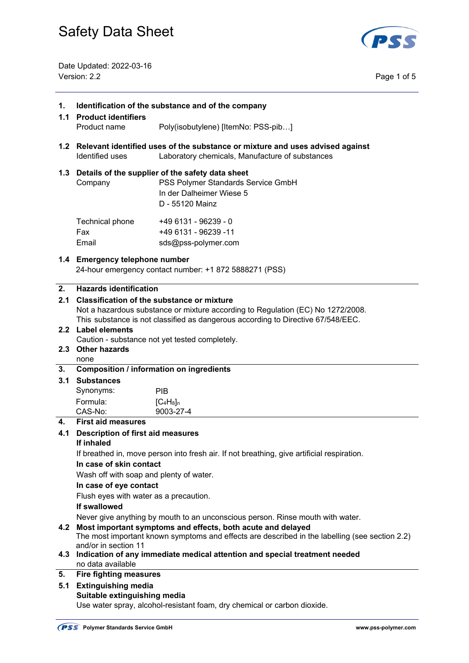

Date Updated: 2022-03-16 Version: 2.2 Page 1 of 5

| 1.  | Identification of the substance and of the company<br>1.1 Product identifiers                                                                                                                                            |                                                                                                                                           |  |
|-----|--------------------------------------------------------------------------------------------------------------------------------------------------------------------------------------------------------------------------|-------------------------------------------------------------------------------------------------------------------------------------------|--|
|     | Product name                                                                                                                                                                                                             | Poly(isobutylene) [ItemNo: PSS-pib]                                                                                                       |  |
|     | Identified uses                                                                                                                                                                                                          | 1.2 Relevant identified uses of the substance or mixture and uses advised against<br>Laboratory chemicals, Manufacture of substances      |  |
|     | Company                                                                                                                                                                                                                  | 1.3 Details of the supplier of the safety data sheet<br>PSS Polymer Standards Service GmbH<br>In der Dalheimer Wiese 5<br>D - 55120 Mainz |  |
|     | Technical phone<br>Fax<br>Email                                                                                                                                                                                          | +49 6131 - 96239 - 0<br>+49 6131 - 96239 -11<br>sds@pss-polymer.com                                                                       |  |
|     | 1.4 Emergency telephone number                                                                                                                                                                                           | 24-hour emergency contact number: +1 872 5888271 (PSS)                                                                                    |  |
| 2.  | <b>Hazards identification</b>                                                                                                                                                                                            |                                                                                                                                           |  |
| 2.1 | <b>Classification of the substance or mixture</b><br>Not a hazardous substance or mixture according to Regulation (EC) No 1272/2008.<br>This substance is not classified as dangerous according to Directive 67/548/EEC. |                                                                                                                                           |  |
|     | 2.2 Label elements                                                                                                                                                                                                       |                                                                                                                                           |  |
|     | Caution - substance not yet tested completely.                                                                                                                                                                           |                                                                                                                                           |  |
| 2.3 | <b>Other hazards</b><br>none                                                                                                                                                                                             |                                                                                                                                           |  |
| 3.  | <b>Composition / information on ingredients</b>                                                                                                                                                                          |                                                                                                                                           |  |
| 3.1 | <b>Substances</b>                                                                                                                                                                                                        |                                                                                                                                           |  |
|     | Synonyms:                                                                                                                                                                                                                | <b>PIB</b>                                                                                                                                |  |
|     | Formula:<br>CAS-No:                                                                                                                                                                                                      | $[C_4H_8]_n$<br>9003-27-4                                                                                                                 |  |
| 4.  | <b>First aid measures</b>                                                                                                                                                                                                |                                                                                                                                           |  |
| 4.1 | <b>Description of first aid measures</b>                                                                                                                                                                                 |                                                                                                                                           |  |
|     | If inhaled                                                                                                                                                                                                               |                                                                                                                                           |  |
|     | If breathed in, move person into fresh air. If not breathing, give artificial respiration.                                                                                                                               |                                                                                                                                           |  |
|     | In case of skin contact                                                                                                                                                                                                  |                                                                                                                                           |  |
|     | Wash off with soap and plenty of water.<br>In case of eye contact                                                                                                                                                        |                                                                                                                                           |  |
|     | Flush eyes with water as a precaution.                                                                                                                                                                                   |                                                                                                                                           |  |
|     | If swallowed                                                                                                                                                                                                             |                                                                                                                                           |  |
|     | Never give anything by mouth to an unconscious person. Rinse mouth with water.                                                                                                                                           |                                                                                                                                           |  |
| 4.2 | Most important symptoms and effects, both acute and delayed<br>The most important known symptoms and effects are described in the labelling (see section 2.2)                                                            |                                                                                                                                           |  |
| 4.3 | and/or in section 11<br>Indication of any immediate medical attention and special treatment needed<br>no data available                                                                                                  |                                                                                                                                           |  |
| 5.  | <b>Fire fighting measures</b>                                                                                                                                                                                            |                                                                                                                                           |  |
| 5.1 | <b>Extinguishing media</b>                                                                                                                                                                                               |                                                                                                                                           |  |
|     | Suitable extinguishing media                                                                                                                                                                                             |                                                                                                                                           |  |
|     |                                                                                                                                                                                                                          | Use water spray, alcohol-resistant foam, dry chemical or carbon dioxide.                                                                  |  |

J.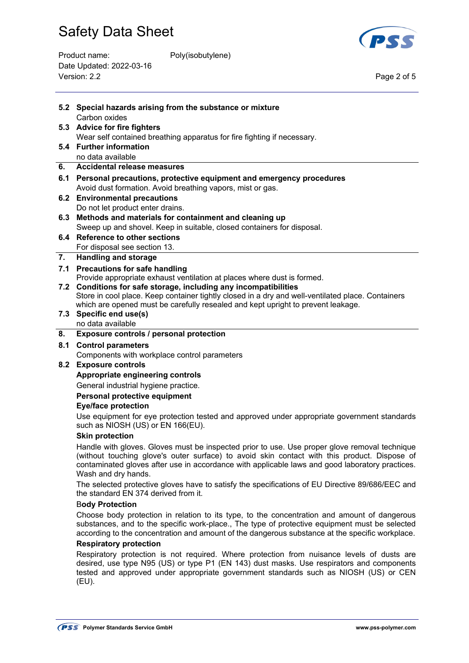| Product name:            | Poly(isobutylene) |             |
|--------------------------|-------------------|-------------|
| Date Updated: 2022-03-16 |                   |             |
| Version: 2.2             |                   | Page 2 of 5 |
|                          |                   |             |



|                                                                                              | 5.2 Special hazards arising from the substance or mixture                                                                                                                                                                                                                                |  |  |
|----------------------------------------------------------------------------------------------|------------------------------------------------------------------------------------------------------------------------------------------------------------------------------------------------------------------------------------------------------------------------------------------|--|--|
|                                                                                              | Carbon oxides                                                                                                                                                                                                                                                                            |  |  |
|                                                                                              | 5.3 Advice for fire fighters                                                                                                                                                                                                                                                             |  |  |
|                                                                                              | Wear self contained breathing apparatus for fire fighting if necessary.                                                                                                                                                                                                                  |  |  |
|                                                                                              | 5.4 Further information                                                                                                                                                                                                                                                                  |  |  |
|                                                                                              | no data available                                                                                                                                                                                                                                                                        |  |  |
| 6.                                                                                           | <b>Accidental release measures</b>                                                                                                                                                                                                                                                       |  |  |
|                                                                                              | 6.1 Personal precautions, protective equipment and emergency procedures                                                                                                                                                                                                                  |  |  |
|                                                                                              | Avoid dust formation. Avoid breathing vapors, mist or gas.                                                                                                                                                                                                                               |  |  |
|                                                                                              | 6.2 Environmental precautions                                                                                                                                                                                                                                                            |  |  |
|                                                                                              | Do not let product enter drains.                                                                                                                                                                                                                                                         |  |  |
|                                                                                              | 6.3 Methods and materials for containment and cleaning up                                                                                                                                                                                                                                |  |  |
|                                                                                              | Sweep up and shovel. Keep in suitable, closed containers for disposal.                                                                                                                                                                                                                   |  |  |
|                                                                                              | 6.4 Reference to other sections                                                                                                                                                                                                                                                          |  |  |
|                                                                                              | For disposal see section 13.                                                                                                                                                                                                                                                             |  |  |
| 7.                                                                                           | <b>Handling and storage</b>                                                                                                                                                                                                                                                              |  |  |
|                                                                                              | 7.1 Precautions for safe handling                                                                                                                                                                                                                                                        |  |  |
|                                                                                              | Provide appropriate exhaust ventilation at places where dust is formed.                                                                                                                                                                                                                  |  |  |
|                                                                                              | 7.2 Conditions for safe storage, including any incompatibilities<br>Store in cool place. Keep container tightly closed in a dry and well-ventilated place. Containers                                                                                                                    |  |  |
|                                                                                              | which are opened must be carefully resealed and kept upright to prevent leakage.                                                                                                                                                                                                         |  |  |
|                                                                                              | 7.3 Specific end use(s)                                                                                                                                                                                                                                                                  |  |  |
|                                                                                              | no data available                                                                                                                                                                                                                                                                        |  |  |
| 8.                                                                                           | Exposure controls / personal protection                                                                                                                                                                                                                                                  |  |  |
| 8.1                                                                                          | <b>Control parameters</b>                                                                                                                                                                                                                                                                |  |  |
|                                                                                              | Components with workplace control parameters                                                                                                                                                                                                                                             |  |  |
|                                                                                              | 8.2 Exposure controls                                                                                                                                                                                                                                                                    |  |  |
|                                                                                              | Appropriate engineering controls                                                                                                                                                                                                                                                         |  |  |
|                                                                                              | General industrial hygiene practice.                                                                                                                                                                                                                                                     |  |  |
|                                                                                              | Personal protective equipment                                                                                                                                                                                                                                                            |  |  |
|                                                                                              | <b>Eye/face protection</b>                                                                                                                                                                                                                                                               |  |  |
|                                                                                              | Use equipment for eye protection tested and approved under appropriate government standards                                                                                                                                                                                              |  |  |
|                                                                                              | such as NIOSH (US) or EN 166(EU).                                                                                                                                                                                                                                                        |  |  |
|                                                                                              | <b>Skin protection</b>                                                                                                                                                                                                                                                                   |  |  |
|                                                                                              | Handle with gloves. Gloves must be inspected prior to use. Use proper glove removal technique<br>(without touching glove's outer surface) to avoid skin contact with this product. Dispose of                                                                                            |  |  |
|                                                                                              | contaminated gloves after use in accordance with applicable laws and good laboratory practices.                                                                                                                                                                                          |  |  |
|                                                                                              | Wash and dry hands.                                                                                                                                                                                                                                                                      |  |  |
|                                                                                              | The selected protective gloves have to satisfy the specifications of EU Directive 89/686/EEC and<br>the standard EN 374 derived from it.                                                                                                                                                 |  |  |
|                                                                                              | <b>Body Protection</b>                                                                                                                                                                                                                                                                   |  |  |
| Choose body protection in relation to its type, to the concentration and amount of dangerous |                                                                                                                                                                                                                                                                                          |  |  |
|                                                                                              | substances, and to the specific work-place., The type of protective equipment must be selected<br>according to the concentration and amount of the dangerous substance at the specific workplace.                                                                                        |  |  |
|                                                                                              | <b>Respiratory protection</b>                                                                                                                                                                                                                                                            |  |  |
|                                                                                              | Respiratory protection is not required. Where protection from nuisance levels of dusts are<br>desired, use type N95 (US) or type P1 (EN 143) dust masks. Use respirators and components<br>tested and approved under appropriate government standards such as NIOSH (US) or CEN<br>(EU). |  |  |
|                                                                                              |                                                                                                                                                                                                                                                                                          |  |  |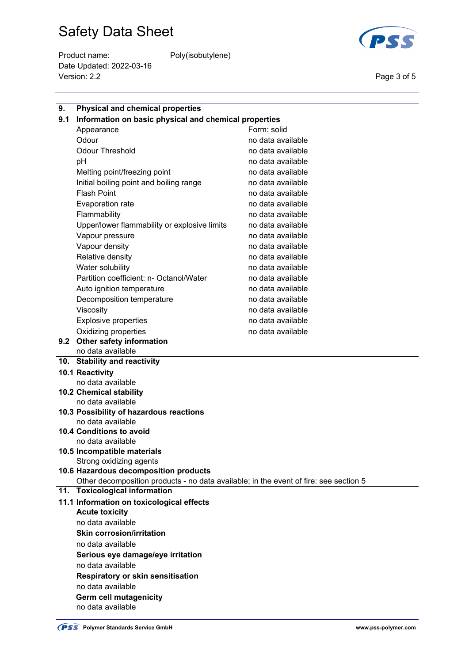Product name: Poly(isobutylene) Date Updated: 2022-03-16 Version: 2.2 Page 3 of 5



| 9.  | <b>Physical and chemical properties</b>                                                                                |                   |  |  |
|-----|------------------------------------------------------------------------------------------------------------------------|-------------------|--|--|
| 9.1 | Information on basic physical and chemical properties                                                                  |                   |  |  |
|     | Appearance                                                                                                             | Form: solid       |  |  |
|     | Odour                                                                                                                  | no data available |  |  |
|     | <b>Odour Threshold</b>                                                                                                 | no data available |  |  |
|     | рH                                                                                                                     | no data available |  |  |
|     | Melting point/freezing point                                                                                           | no data available |  |  |
|     | Initial boiling point and boiling range                                                                                | no data available |  |  |
|     | <b>Flash Point</b>                                                                                                     | no data available |  |  |
|     | Evaporation rate                                                                                                       | no data available |  |  |
|     | Flammability                                                                                                           | no data available |  |  |
|     | Upper/lower flammability or explosive limits                                                                           | no data available |  |  |
|     | Vapour pressure                                                                                                        | no data available |  |  |
|     | Vapour density                                                                                                         | no data available |  |  |
|     | Relative density                                                                                                       | no data available |  |  |
|     | Water solubility                                                                                                       | no data available |  |  |
|     | Partition coefficient: n- Octanol/Water                                                                                | no data available |  |  |
|     | Auto ignition temperature                                                                                              | no data available |  |  |
|     | Decomposition temperature                                                                                              | no data available |  |  |
|     | Viscosity                                                                                                              | no data available |  |  |
|     | <b>Explosive properties</b>                                                                                            | no data available |  |  |
|     | Oxidizing properties                                                                                                   | no data available |  |  |
|     | 9.2 Other safety information                                                                                           |                   |  |  |
|     | no data available                                                                                                      |                   |  |  |
|     | 10. Stability and reactivity                                                                                           |                   |  |  |
|     | 10.1 Reactivity                                                                                                        |                   |  |  |
|     | no data available                                                                                                      |                   |  |  |
|     | 10.2 Chemical stability                                                                                                |                   |  |  |
|     | no data available                                                                                                      |                   |  |  |
|     | 10.3 Possibility of hazardous reactions                                                                                |                   |  |  |
|     | no data available                                                                                                      |                   |  |  |
|     | 10.4 Conditions to avoid                                                                                               |                   |  |  |
|     | no data available                                                                                                      |                   |  |  |
|     | 10.5 Incompatible materials                                                                                            |                   |  |  |
|     | Strong oxidizing agents<br>10.6 Hazardous decomposition products                                                       |                   |  |  |
|     |                                                                                                                        |                   |  |  |
|     | Other decomposition products - no data available; in the event of fire: see section 5<br>11. Toxicological information |                   |  |  |
|     | 11.1 Information on toxicological effects                                                                              |                   |  |  |
|     | <b>Acute toxicity</b><br>no data available<br><b>Skin corrosion/irritation</b><br>no data available                    |                   |  |  |
|     |                                                                                                                        |                   |  |  |
|     |                                                                                                                        |                   |  |  |
|     |                                                                                                                        |                   |  |  |
|     | Serious eye damage/eye irritation                                                                                      |                   |  |  |
|     | no data available                                                                                                      |                   |  |  |
|     | <b>Respiratory or skin sensitisation</b>                                                                               |                   |  |  |
|     | no data available                                                                                                      |                   |  |  |
|     | <b>Germ cell mutagenicity</b>                                                                                          |                   |  |  |
|     | no data available                                                                                                      |                   |  |  |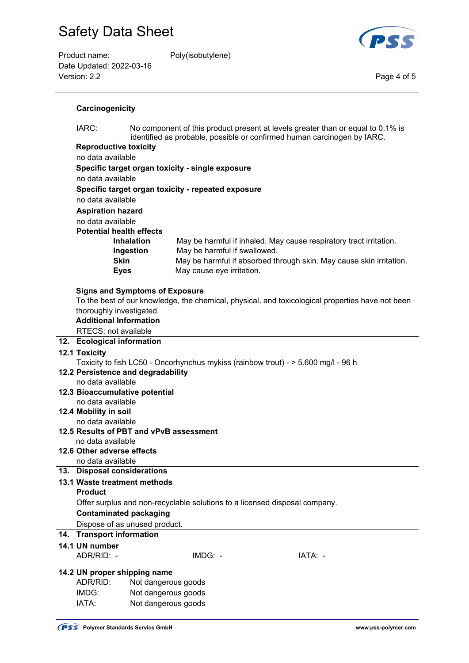| Product name:            | Poly(isobutylene) |             |
|--------------------------|-------------------|-------------|
| Date Updated: 2022-03-16 |                   |             |
| Version: 2.2             |                   | Page 4 of 5 |
|                          |                   |             |



## **Carcinogenicity**

 IARC: No component of this product present at levels greater than or equal to 0.1% is identified as probable, possible or confirmed human carcinogen by IARC.  **Reproductive toxicity** no data available  **Specific target organ toxicity - single exposure** no data available **Specific target organ toxicity - repeated exposure** no data available **Aspiration hazard** no data available **Potential health effects Inhalation** May be harmful if inhaled. May cause respiratory tract irritation.  **Ingestion** May be harmful if swallowed. **Skin** May be harmful if absorbed through skin. May cause skin irritation. **Eyes** May cause eye irritation. **Signs and Symptoms of Exposure** To the best of our knowledge, the chemical, physical, and toxicological properties have not been thoroughly investigated. **Additional Information**  RTECS: not available **12. Ecological information 12.1 Toxicity**  Toxicity to fish LC50 - Oncorhynchus mykiss (rainbow trout) - > 5.600 mg/l - 96 h **12.2 Persistence and degradability**  no data available **12.3 Bioaccumulative potential**  no data available **12.4 Mobility in soil**  no data available **12.5 Results of PBT and vPvB assessment**  no data available

#### **12.6 Other adverse effects**

no data available

## **13. Disposal considerations**

# **13.1 Waste treatment methods**

 **Product** 

# Offer surplus and non-recyclable solutions to a licensed disposal company.

# **Contaminated packaging**

Dispose of as unused product.

# **14. Transport information**

# **14.1 UN number**

ADR/RID: - IMDG: - IMDG: - IATA: -

## **14.2 UN proper shipping name**

| ADR/RID: | Not dangerous goods |
|----------|---------------------|
| IMDG:    | Not dangerous goods |
| IATA:    | Not dangerous goods |